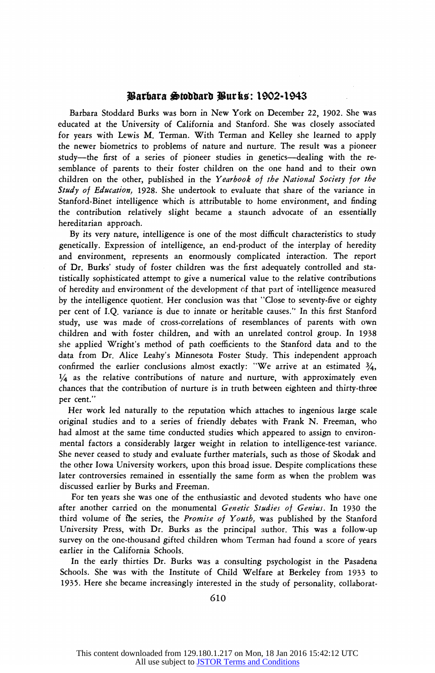## **warbara \*tobbarb gurkc: 1902-1943**

**Barbara Stoddard Burks was born in New York on December 22, 1902. She was educated at the University of California and Stanford. She was closely associated for years with Lewis M. Terman. With Terman and Kelley she learned to apply the newer biometrics to problems of nature and nurture. The result was a pioneer**  study-the first of a series of pioneer studies in genetics-dealing with the re**semblance of parents to their foster children on the one hand and to their own children on the other, published in the Yearbook of the National Society for the Study of Education, 1928. She undertook to evaluate that share of the variance in Stanford-Binet intelligence which is attributable to home environment, and finding the contribution relatively slight became a staunch advocate of an essentially hereditarian approach.** 

**By its very nature, intelligence is one of the most difficult characteristics to study genetically. Expression of intelligence, an end-product of the interplay of heredity and environment, represents an enormously complicated interaction. The report of Dr. Burks' study of foster children was the first adequately controlled and statistically sophisticated attempt to give a numerical value to the relative contributions of heredity and environment of the development of that part of intelligence measured by the intelligence quotient. Her conclusion was that "Close to seventy-five or eighty per cent of I.Q. variance is due to innate or heritable causes." In this first Stanford study, use was made of cross-correlations of resemblances of parents with own children and with foster children, and with an unrelated control group. In 1938 she applied Wright's method of path coefficients to the Stanford data and to the data from Dr. Alice Leahy's Minnesota Foster Study. This independent approach**  confirmed the earlier conclusions almost exactly: "We arrive at an estimated 3/<sub>4</sub>, **1/4 as the relative contributions of nature and nurture, with approximately even chances that the contribution of nurture is in truth between eighteen and thirty-three per cent."** 

**Her work led naturally to the reputation which attaches to ingenious large scale original studies and to a series of friendly debates with Frank N. Freeman, who had almost at the same time conducted studies which appeared to assign to environmental factors a considerably larger weight in relation to intelligence-test variance. She never ceased to study and evaluate further materials, such as those of Skodak and the other Iowa University workers, upon this broad issue. Despite complications these later controversies remained in essentially the same form as when the problem was discussed earlier by Burks and Freeman.** 

**For ten years she was one of the enthusiastic and devoted students who have one after another carried on the monumental Genetic Studies of Genius. In 1930 the third volume of the series, the Promise of Youth, was published by the Stanford University Press, with Dr. Burks as the principal author. This was a follow-up survey on the one-thousand gifted children whom Terman had found a score of years earlier in the California Schools.** 

**In the early thirties Dr. Burks was a consulting psychologist in the Pasadena Schools. She was with the Institute of Child Welfare at Berkeley from 1933 to 1935. Here she became increasingly interested in the study of personality, collaborat-**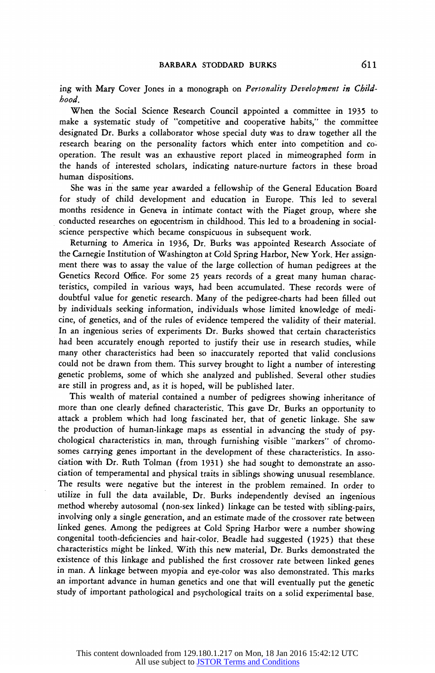**ing with Mary Cover Jones in a monograph on Personality Development in Childhood.** 

**When the Social Science Research Council appointed a committee in 1935 to make a systematic study of "competitive and cooperative habits," the committee designated Dr. Burks a collaborator whose special duty Was to draw together all the research bearing on the personality factors which enter into competition and cooperation. The result was an exhaustive report placed in mimeographed form in the hands of interested scholars, indicating nature-nurture factors in these broad human dispositions.** 

**She was in the same year awarded a fellowship of the General Education Board for study of child development and education in Europe. This led to several months residence in Geneva in intimate contact with the Piaget group, where she conducted researches on egocentrism in childhood. This led to a broadening in socialscience perspective which became conspicuous in subsequent work.** 

**Returning to America in 1936, Dr. Burks was appointed Research Associate of the Carnegie Institution of Washington at Cold Spring Harbor, New York. Her assignment there was to assay the value of the large collection of human pedigrees at the Genetics Record Office. For some 25 years records of a great many human characteristics, compiled in various ways, had been accumulated. These records were of doubtful value for genetic research. Many of the pedigree-charts had been filled out by individuals seeking information, individuals whose limited knowledge of medicine, of genetics, and of the rules of evidence tempered the validity of their material. In an ingenious series of experiments Dr. Burks showed that certain characteristics had been accurately enough reported to justify their use in research studies, while many other characteristics had been so inaccurately reported that valid conclusions could not be drawn from them. This survey brought to light a number of interesting genetic problems, some of which she analyzed and published. Several other studies are still in progress and, as it is hoped, will be published later.** 

**This wealth of material contained a number of pedigrees showing inheritance of more than one clearly defined characteristic. This gave Dr. Burks an opportunity to attack a problem which had long fascinated her, that of genetic linkage. She saw the production of human-linkage maps as essential in advancing the study of psychological characteristics in. man, through furnishing visible "markers" of chromosomes carrying genes important in the development of these characteristics. In association with Dr. Ruth Tolman (from 1931) she had sought to demonstrate an association of temperamental and physical traits in siblings showing unusual resemblance. The results were negative but the interest in the problem remained. In order to utilize in full the data available, Dr. Burks independently devised an ingenious method whereby autosomal (non-sex linked) linkage can be tested with sibling-pairs, involving only a single generation, and an estimate made of the crossover rate between linked genes. Among the pedigrees at Cold Spring Harbor were a number showing congenital tooth-deficiencies and hair-color. Beadle had suggested (1925) that these characteristics might be linked. With this new material, Dr. Burks demonstrated the existence of this linkage and published the first crossover rate between linked genes in man. A linkage between myopia and eye-color was also demonstrated. This marks an important advance in human genetics and one that will eventually put the genetic study of important pathological and psychological traits on a solid experimental base.**